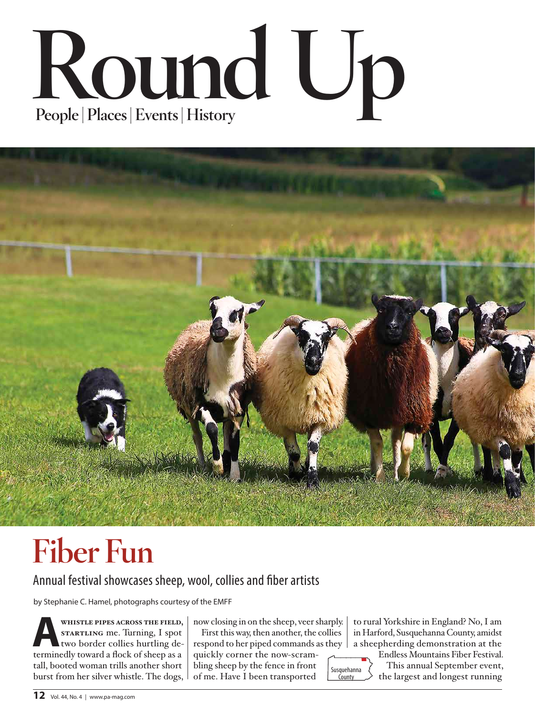



# Fiber Fun

## Annual festival showcases sheep, wool, collies and fiber artists

by Stephanie C. Hamel, photographs courtesy of the EMFF

**A PRISTLE PIPES ACROSS THE FIELD,**<br> **A STARTLING ME.** Turning, I spot two border collies hurtling determinedly toward a flock of sheep as a **startling** me. Turning, I spot two border collies hurtling determinedly toward a flock of sheep as a tall, booted woman trills another short burst from her silver whistle. The dogs,

now closing in on the sheep, veer sharply.

First this way, then another, the collies respond to her piped commands as they quickly corner the now-scram-

bling sheep by the fence in front of me. Have I been transported

to rural Yorkshire in England? No, I am in Harford, Susquehanna County, amidst a sheepherding demonstration at the

Susquehanna **County** 

Endless Mountains Fiber Festival. This annual September event, the largest and longest running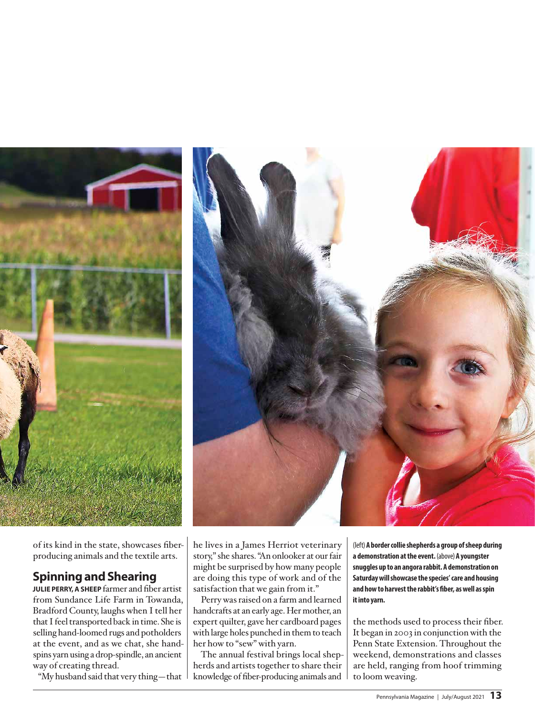



of its kind in the state, showcases fiberproducing animals and the textile arts.

### **Spinning and Shearing**

**JULIE PERRY, A SHEEP** farmer and fiber artist from Sundance Life Farm in Towanda, Bradford County, laughs when I tell her that I feel transported back in time. She is selling hand-loomed rugs and potholders at the event, and as we chat, she handspins yarn using a drop-spindle, an ancient way of creating thread.

"My husband said that very thing—that

he lives in a James Herriot veterinary story," she shares. "An onlooker at our fair might be surprised by how many people are doing this type of work and of the satisfaction that we gain from it."

Perry was raised on a farm and learned handcrafts at an early age. Her mother, an expert quilter, gave her cardboard pages with large holes punched in them to teach her how to "sew" with yarn.

The annual festival brings local shepherds and artists together to share their knowledge of fiber-producing animals and

(left) **A border collie shepherds a group of sheep during a demonstration at the event.** (above) **A youngster snuggles up to an angora rabbit. A demonstration on Saturday will showcase the species' care and housing and how to harvest the rabbit's fiber, as well as spin it into yarn.** 

the methods used to process their fiber. It began in 2003 in conjunction with the Penn State Extension. Throughout the weekend, demonstrations and classes are held, ranging from hoof trimming to loom weaving.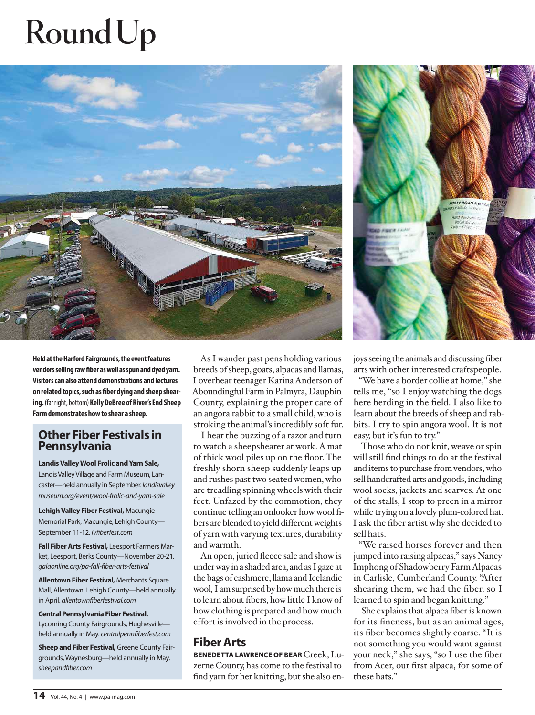# Round Up



HOLLY ROAD FIBERS

**Held at the Harford Fairgrounds, the event features vendors selling raw fiber as well as spun and dyed yarn. Visitors can also attend demonstrations and lectures on related topics, such as fiber dying and sheep shearing.** (far right, bottom) **Kelly DeBree of River's End Sheep Farm demonstrates how to shear a sheep.** 

### **Other Fiber Festivals in Pennsylvania**

**Landis Valley Wool Frolic and Yarn Sale,** Landis Valley Village and Farm Museum, Lancaster—held annually in September. *landisvalley museum.org/event/wool-frolic-and-yarn-sale*

**Lehigh Valley Fiber Festival,** Macungie Memorial Park, Macungie, Lehigh County— September 11-12. *lvfiberfest.com*

**Fall Fiber Arts Festival,** Leesport Farmers Market, Leesport, Berks County—November 20-21. *galaonline.org/pa-fall-fiber-arts-festival*

**Allentown Fiber Festival,** Merchants Square Mall, Allentown, Lehigh County—held annually in April. *allentownfiberfestival.com* 

**Central Pennsylvania Fiber Festival,**  Lycoming County Fairgrounds, Hughesville held annually in May. *centralpennfiberfest.com*

**Sheep and Fiber Festival, Greene County Fair**grounds, Waynesburg—held annually in May. *sheepandfiber.com* 

As I wander past pens holding various breeds of sheep, goats, alpacas and llamas, I overhear teenager Karina Anderson of Aboundingful Farm in Palmyra, Dauphin County, explaining the proper care of an angora rabbit to a small child, who is stroking the animal's incredibly soft fur.

I hear the buzzing of a razor and turn to watch a sheepshearer at work. A mat of thick wool piles up on the floor. The freshly shorn sheep suddenly leaps up and rushes past two seated women, who are treadling spinning wheels with their feet. Unfazed by the commotion, they continue telling an onlooker how wool fibers are blended to yield different weights of yarn with varying textures, durability and warmth.

An open, juried fleece sale and show is under way in a shaded area, and as I gaze at the bags of cashmere, llama and Icelandic wool, I am surprised by how much there is to learn about fibers, how little I know of how clothing is prepared and how much effort is involved in the process.

### **Fiber Arts**

**BENEDETTA LAWRENCE OF BEAR** Creek, Luzerne County, has come to the festival to find yarn for her knitting, but she also enjoys seeing the animals and discussing fiber arts with other interested craftspeople.

"We have a border collie at home," she tells me, "so I enjoy watching the dogs here herding in the field. I also like to learn about the breeds of sheep and rabbits. I try to spin angora wool. It is not easy, but it's fun to try."

Those who do not knit, weave or spin will still find things to do at the festival and items to purchase from vendors, who sell handcrafted arts and goods, including wool socks, jackets and scarves. At one of the stalls, I stop to preen in a mirror while trying on a lovely plum-colored hat. I ask the fiber artist why she decided to sell hats.

"We raised horses forever and then jumped into raising alpacas," says Nancy Imphong of Shadowberry Farm Alpacas in Carlisle, Cumberland County. "After shearing them, we had the fiber, so I learned to spin and began knitting."

She explains that alpaca fiber is known for its fineness, but as an animal ages, its fiber becomes slightly coarse. "It is not something you would want against your neck," she says, "so I use the fiber from Acer, our first alpaca, for some of these hats."